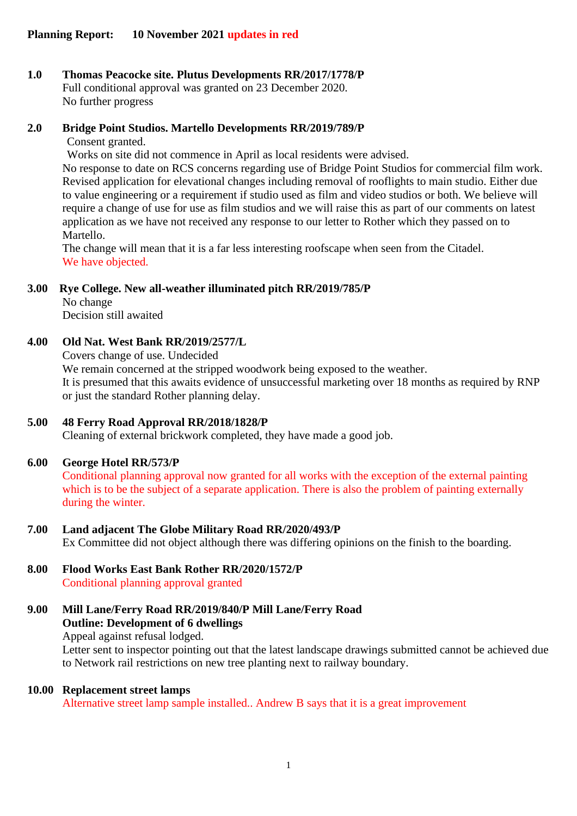## **1.0 Thomas Peacocke site. Plutus Developments RR/2017/1778/P** Full conditional approval was granted on 23 December 2020.

No further progress

## **2.0 Bridge Point Studios. Martello Developments RR/2019/789/P**

Consent granted.

Works on site did not commence in April as local residents were advised.

No response to date on RCS concerns regarding use of Bridge Point Studios for commercial film work. Revised application for elevational changes including removal of rooflights to main studio. Either due to value engineering or a requirement if studio used as film and video studios or both. We believe will require a change of use for use as film studios and we will raise this as part of our comments on latest application as we have not received any response to our letter to Rother which they passed on to Martello.

The change will mean that it is a far less interesting roofscape when seen from the Citadel. We have objected.

## **3.00 Rye College. New all-weather illuminated pitch RR/2019/785/P**

No change Decision still awaited

# **4.00 Old Nat. West Bank RR/2019/2577/L**

Covers change of use. Undecided

We remain concerned at the stripped woodwork being exposed to the weather. It is presumed that this awaits evidence of unsuccessful marketing over 18 months as required by RNP or just the standard Rother planning delay.

# **5.00 48 Ferry Road Approval RR/2018/1828/P**

Cleaning of external brickwork completed, they have made a good job.

## **6.00 George Hotel RR/573/P**

Conditional planning approval now granted for all works with the exception of the external painting which is to be the subject of a separate application. There is also the problem of painting externally during the winter.

## **7.00 Land adjacent The Globe Military Road RR/2020/493/P**

Ex Committee did not object although there was differing opinions on the finish to the boarding.

#### **8.00 Flood Works East Bank Rother RR/2020/1572/P** Conditional planning approval granted

**9.00 Mill Lane/Ferry Road RR/2019/840/P Mill Lane/Ferry Road Outline: Development of 6 dwellings** Appeal against refusal lodged.

> Letter sent to inspector pointing out that the latest landscape drawings submitted cannot be achieved due to Network rail restrictions on new tree planting next to railway boundary.

## **10.00 Replacement street lamps**

Alternative street lamp sample installed.. Andrew B says that it is a great improvement